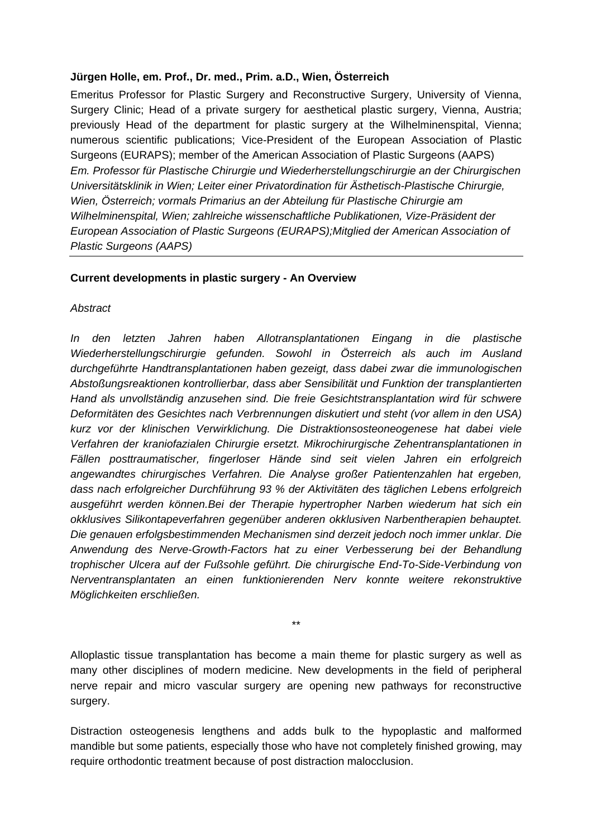# **Jürgen Holle, em. Prof., Dr. med., Prim. a.D., Wien, Österreich**

Emeritus Professor for Plastic Surgery and Reconstructive Surgery, University of Vienna, Surgery Clinic; Head of a private surgery for aesthetical plastic surgery, Vienna, Austria; previously Head of the department for plastic surgery at the Wilhelminenspital, Vienna; numerous scientific publications; Vice-President of the European Association of Plastic Surgeons (EURAPS); member of the American Association of Plastic Surgeons (AAPS) *Em. Professor für Plastische Chirurgie und Wiederherstellungschirurgie an der Chirurgischen Universitätsklinik in Wien; Leiter einer Privatordination für Ästhetisch-Plastische Chirurgie, Wien, Österreich; vormals Primarius an der Abteilung für Plastische Chirurgie am Wilhelminenspital, Wien; zahlreiche wissenschaftliche Publikationen, Vize-Präsident der European Association of Plastic Surgeons (EURAPS);Mitglied der American Association of Plastic Surgeons (AAPS)* 

# **Current developments in plastic surgery - An Overview**

# *Abstract*

*In den letzten Jahren haben Allotransplantationen Eingang in die plastische Wiederherstellungschirurgie gefunden. Sowohl in Österreich als auch im Ausland durchgeführte Handtransplantationen haben gezeigt, dass dabei zwar die immunologischen Abstoßungsreaktionen kontrollierbar, dass aber Sensibilität und Funktion der transplantierten Hand als unvollständig anzusehen sind. Die freie Gesichtstransplantation wird für schwere Deformitäten des Gesichtes nach Verbrennungen diskutiert und steht (vor allem in den USA) kurz vor der klinischen Verwirklichung. Die Distraktionsosteoneogenese hat dabei viele Verfahren der kraniofazialen Chirurgie ersetzt. Mikrochirurgische Zehentransplantationen in Fällen posttraumatischer, fingerloser Hände sind seit vielen Jahren ein erfolgreich angewandtes chirurgisches Verfahren. Die Analyse großer Patientenzahlen hat ergeben, dass nach erfolgreicher Durchführung 93 % der Aktivitäten des täglichen Lebens erfolgreich ausgeführt werden können.Bei der Therapie hypertropher Narben wiederum hat sich ein okklusives Silikontapeverfahren gegenüber anderen okklusiven Narbentherapien behauptet. Die genauen erfolgsbestimmenden Mechanismen sind derzeit jedoch noch immer unklar. Die Anwendung des Nerve-Growth-Factors hat zu einer Verbesserung bei der Behandlung trophischer Ulcera auf der Fußsohle geführt. Die chirurgische End-To-Side-Verbindung von Nerventransplantaten an einen funktionierenden Nerv konnte weitere rekonstruktive Möglichkeiten erschließen.* 

\*\*

Alloplastic tissue transplantation has become a main theme for plastic surgery as well as many other disciplines of modern medicine. New developments in the field of peripheral nerve repair and micro vascular surgery are opening new pathways for reconstructive surgery.

Distraction osteogenesis lengthens and adds bulk to the hypoplastic and malformed mandible but some patients, especially those who have not completely finished growing, may require orthodontic treatment because of post distraction malocclusion.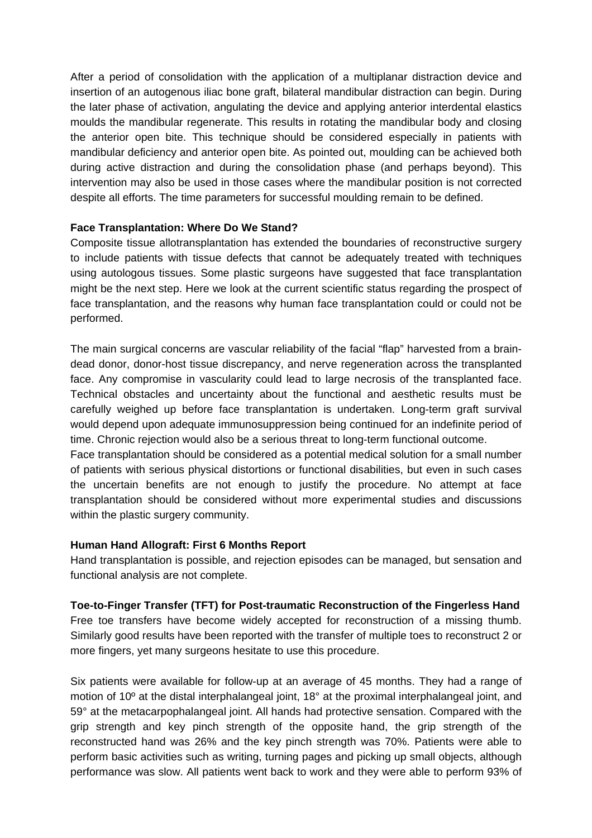After a period of consolidation with the application of a multiplanar distraction device and insertion of an autogenous iliac bone graft, bilateral mandibular distraction can begin. During the later phase of activation, angulating the device and applying anterior interdental elastics moulds the mandibular regenerate. This results in rotating the mandibular body and closing the anterior open bite. This technique should be considered especially in patients with mandibular deficiency and anterior open bite. As pointed out, moulding can be achieved both during active distraction and during the consolidation phase (and perhaps beyond). This intervention may also be used in those cases where the mandibular position is not corrected despite all efforts. The time parameters for successful moulding remain to be defined.

# **Face Transplantation: Where Do We Stand?**

Composite tissue allotransplantation has extended the boundaries of reconstructive surgery to include patients with tissue defects that cannot be adequately treated with techniques using autologous tissues. Some plastic surgeons have suggested that face transplantation might be the next step. Here we look at the current scientific status regarding the prospect of face transplantation, and the reasons why human face transplantation could or could not be performed.

The main surgical concerns are vascular reliability of the facial "flap" harvested from a braindead donor, donor-host tissue discrepancy, and nerve regeneration across the transplanted face. Any compromise in vascularity could lead to large necrosis of the transplanted face. Technical obstacles and uncertainty about the functional and aesthetic results must be carefully weighed up before face transplantation is undertaken. Long-term graft survival would depend upon adequate immunosuppression being continued for an indefinite period of time. Chronic rejection would also be a serious threat to long-term functional outcome.

Face transplantation should be considered as a potential medical solution for a small number of patients with serious physical distortions or functional disabilities, but even in such cases the uncertain benefits are not enough to justify the procedure. No attempt at face transplantation should be considered without more experimental studies and discussions within the plastic surgery community.

#### **Human Hand Allograft: First 6 Months Report**

Hand transplantation is possible, and rejection episodes can be managed, but sensation and functional analysis are not complete.

# **Toe-to-Finger Transfer (TFT) for Post-traumatic Reconstruction of the Fingerless Hand**

Free toe transfers have become widely accepted for reconstruction of a missing thumb. Similarly good results have been reported with the transfer of multiple toes to reconstruct 2 or more fingers, yet many surgeons hesitate to use this procedure.

Six patients were available for follow-up at an average of 45 months. They had a range of motion of 10º at the distal interphalangeal joint, 18° at the proximal interphalangeal joint, and 59° at the metacarpophalangeal joint. All hands had protective sensation. Compared with the grip strength and key pinch strength of the opposite hand, the grip strength of the reconstructed hand was 26% and the key pinch strength was 70%. Patients were able to perform basic activities such as writing, turning pages and picking up small objects, although performance was slow. All patients went back to work and they were able to perform 93% of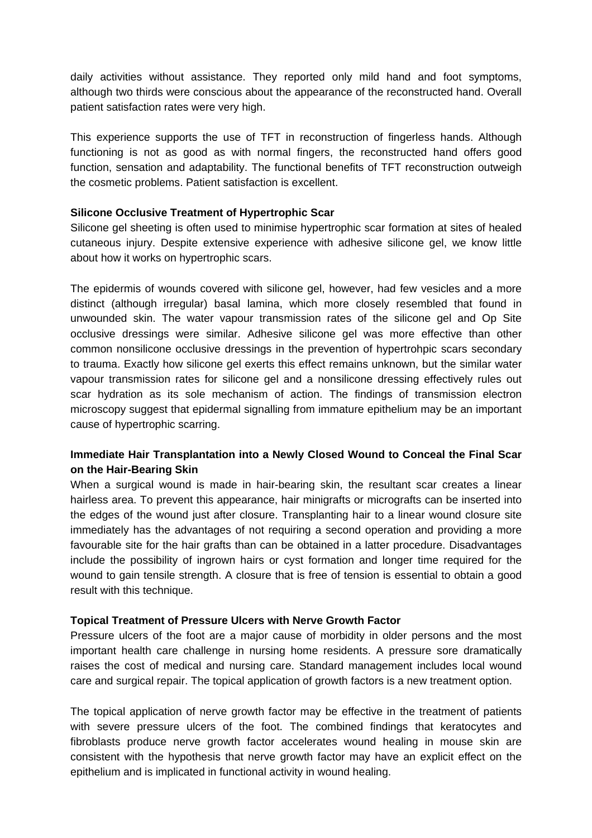daily activities without assistance. They reported only mild hand and foot symptoms, although two thirds were conscious about the appearance of the reconstructed hand. Overall patient satisfaction rates were very high.

This experience supports the use of TFT in reconstruction of fingerless hands. Although functioning is not as good as with normal fingers, the reconstructed hand offers good function, sensation and adaptability. The functional benefits of TFT reconstruction outweigh the cosmetic problems. Patient satisfaction is excellent.

# **Silicone Occlusive Treatment of Hypertrophic Scar**

Silicone gel sheeting is often used to minimise hypertrophic scar formation at sites of healed cutaneous injury. Despite extensive experience with adhesive silicone gel, we know little about how it works on hypertrophic scars.

The epidermis of wounds covered with silicone gel, however, had few vesicles and a more distinct (although irregular) basal lamina, which more closely resembled that found in unwounded skin. The water vapour transmission rates of the silicone gel and Op Site occlusive dressings were similar. Adhesive silicone gel was more effective than other common nonsilicone occlusive dressings in the prevention of hypertrohpic scars secondary to trauma. Exactly how silicone gel exerts this effect remains unknown, but the similar water vapour transmission rates for silicone gel and a nonsilicone dressing effectively rules out scar hydration as its sole mechanism of action. The findings of transmission electron microscopy suggest that epidermal signalling from immature epithelium may be an important cause of hypertrophic scarring.

# **Immediate Hair Transplantation into a Newly Closed Wound to Conceal the Final Scar on the Hair-Bearing Skin**

When a surgical wound is made in hair-bearing skin, the resultant scar creates a linear hairless area. To prevent this appearance, hair minigrafts or micrografts can be inserted into the edges of the wound just after closure. Transplanting hair to a linear wound closure site immediately has the advantages of not requiring a second operation and providing a more favourable site for the hair grafts than can be obtained in a latter procedure. Disadvantages include the possibility of ingrown hairs or cyst formation and longer time required for the wound to gain tensile strength. A closure that is free of tension is essential to obtain a good result with this technique.

# **Topical Treatment of Pressure Ulcers with Nerve Growth Factor**

Pressure ulcers of the foot are a major cause of morbidity in older persons and the most important health care challenge in nursing home residents. A pressure sore dramatically raises the cost of medical and nursing care. Standard management includes local wound care and surgical repair. The topical application of growth factors is a new treatment option.

The topical application of nerve growth factor may be effective in the treatment of patients with severe pressure ulcers of the foot. The combined findings that keratocytes and fibroblasts produce nerve growth factor accelerates wound healing in mouse skin are consistent with the hypothesis that nerve growth factor may have an explicit effect on the epithelium and is implicated in functional activity in wound healing.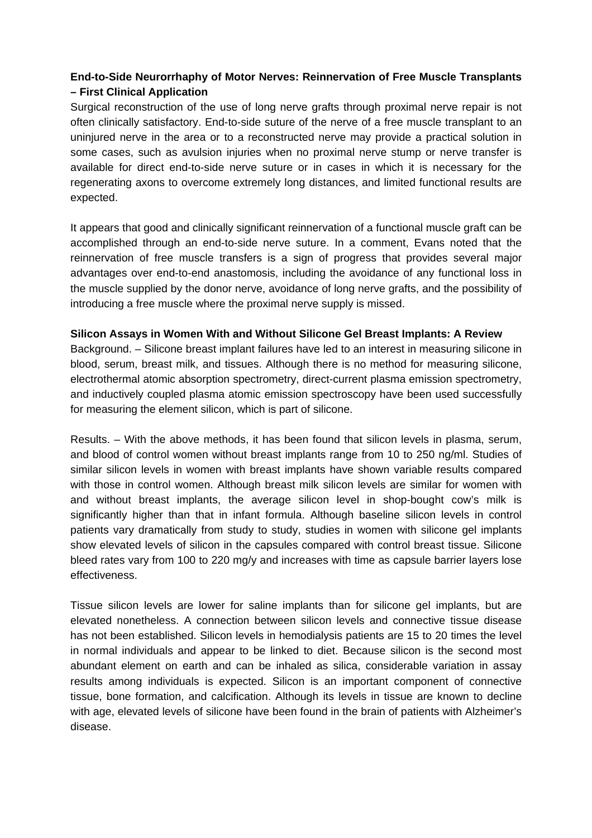# **End-to-Side Neurorrhaphy of Motor Nerves: Reinnervation of Free Muscle Transplants – First Clinical Application**

Surgical reconstruction of the use of long nerve grafts through proximal nerve repair is not often clinically satisfactory. End-to-side suture of the nerve of a free muscle transplant to an uninjured nerve in the area or to a reconstructed nerve may provide a practical solution in some cases, such as avulsion injuries when no proximal nerve stump or nerve transfer is available for direct end-to-side nerve suture or in cases in which it is necessary for the regenerating axons to overcome extremely long distances, and limited functional results are expected.

It appears that good and clinically significant reinnervation of a functional muscle graft can be accomplished through an end-to-side nerve suture. In a comment, Evans noted that the reinnervation of free muscle transfers is a sign of progress that provides several major advantages over end-to-end anastomosis, including the avoidance of any functional loss in the muscle supplied by the donor nerve, avoidance of long nerve grafts, and the possibility of introducing a free muscle where the proximal nerve supply is missed.

# **Silicon Assays in Women With and Without Silicone Gel Breast Implants: A Review**

Background. – Silicone breast implant failures have led to an interest in measuring silicone in blood, serum, breast milk, and tissues. Although there is no method for measuring silicone, electrothermal atomic absorption spectrometry, direct-current plasma emission spectrometry, and inductively coupled plasma atomic emission spectroscopy have been used successfully for measuring the element silicon, which is part of silicone.

Results. – With the above methods, it has been found that silicon levels in plasma, serum, and blood of control women without breast implants range from 10 to 250 ng/ml. Studies of similar silicon levels in women with breast implants have shown variable results compared with those in control women. Although breast milk silicon levels are similar for women with and without breast implants, the average silicon level in shop-bought cow's milk is significantly higher than that in infant formula. Although baseline silicon levels in control patients vary dramatically from study to study, studies in women with silicone gel implants show elevated levels of silicon in the capsules compared with control breast tissue. Silicone bleed rates vary from 100 to 220 mg/y and increases with time as capsule barrier layers lose effectiveness.

Tissue silicon levels are lower for saline implants than for silicone gel implants, but are elevated nonetheless. A connection between silicon levels and connective tissue disease has not been established. Silicon levels in hemodialysis patients are 15 to 20 times the level in normal individuals and appear to be linked to diet. Because silicon is the second most abundant element on earth and can be inhaled as silica, considerable variation in assay results among individuals is expected. Silicon is an important component of connective tissue, bone formation, and calcification. Although its levels in tissue are known to decline with age, elevated levels of silicone have been found in the brain of patients with Alzheimer's disease.